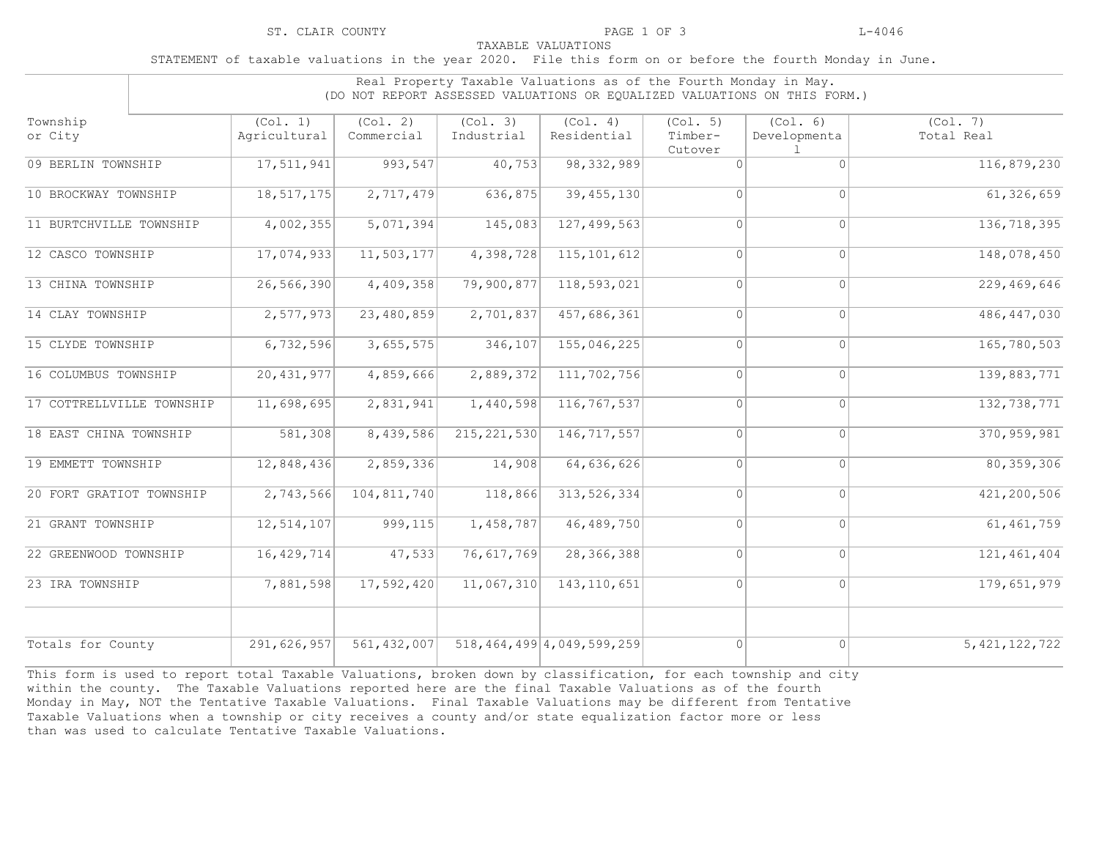STATEMENT of taxable valuations in the year 2020. File this form on or before the fourth Monday in June.

|                           | Real Property Taxable Valuations as of the Fourth Monday in May.<br>(DO NOT REPORT ASSESSED VALUATIONS OR EQUALIZED VALUATIONS ON THIS FORM.) |                        |                        |                                |                                |                          |                        |
|---------------------------|-----------------------------------------------------------------------------------------------------------------------------------------------|------------------------|------------------------|--------------------------------|--------------------------------|--------------------------|------------------------|
| Township<br>or City       | (Col. 1)<br>Agricultural                                                                                                                      | (Col. 2)<br>Commercial | (Col. 3)<br>Industrial | (Col. 4)<br>Residential        | (Col. 5)<br>Timber-<br>Cutover | (Col. 6)<br>Developmenta | (Col. 7)<br>Total Real |
| 09 BERLIN TOWNSHIP        | 17,511,941                                                                                                                                    | 993,547                | 40,753                 | 98, 332, 989                   | $\Omega$                       | $\Omega$                 | 116,879,230            |
| 10 BROCKWAY TOWNSHIP      | 18, 517, 175                                                                                                                                  | 2,717,479              | 636,875                | 39, 455, 130                   | $\Omega$                       | $\Omega$                 | 61, 326, 659           |
| 11 BURTCHVILLE TOWNSHIP   | 4,002,355                                                                                                                                     | 5,071,394              | 145,083                | 127, 499, 563                  | $\Omega$                       | $\Omega$                 | 136,718,395            |
| 12 CASCO TOWNSHIP         | 17,074,933                                                                                                                                    | 11,503,177             | 4,398,728              | 115, 101, 612                  | $\Omega$                       | $\Omega$                 | 148,078,450            |
| 13 CHINA TOWNSHIP         | 26,566,390                                                                                                                                    | 4,409,358              | 79,900,877             | 118,593,021                    | $\Omega$                       | $\Omega$                 | 229,469,646            |
| 14 CLAY TOWNSHIP          | 2,577,973                                                                                                                                     | 23,480,859             | 2,701,837              | 457,686,361                    | $\Omega$                       | $\Omega$                 | 486, 447, 030          |
| 15 CLYDE TOWNSHIP         | 6,732,596                                                                                                                                     | 3,655,575              | 346, 107               | 155,046,225                    | $\overline{0}$                 | $\circ$                  | 165,780,503            |
| 16 COLUMBUS TOWNSHIP      | 20,431,977                                                                                                                                    | 4,859,666              | 2,889,372              | 111,702,756                    | $\overline{0}$                 | $\overline{0}$           | 139,883,771            |
| 17 COTTRELLVILLE TOWNSHIP | 11,698,695                                                                                                                                    | 2,831,941              | 1,440,598              | 116,767,537                    | $\Omega$                       | $\Omega$                 | 132, 738, 771          |
| 18 EAST CHINA TOWNSHIP    | 581,308                                                                                                                                       | 8,439,586              | 215, 221, 530          | 146,717,557                    | $\Omega$                       | $\Omega$                 | 370, 959, 981          |
| 19 EMMETT TOWNSHIP        | 12,848,436                                                                                                                                    | 2,859,336              | 14,908                 | 64,636,626                     | $\Omega$                       | $\Omega$                 | 80, 359, 306           |
| 20 FORT GRATIOT TOWNSHIP  | 2,743,566                                                                                                                                     | 104,811,740            | 118,866                | 313, 526, 334                  | $\Omega$                       | $\Omega$                 | 421,200,506            |
| 21 GRANT TOWNSHIP         | 12,514,107                                                                                                                                    | 999, 115               | 1,458,787              | 46,489,750                     | $\Omega$                       | $\Omega$                 | 61, 461, 759           |
| 22 GREENWOOD TOWNSHIP     | 16,429,714                                                                                                                                    | 47,533                 | 76,617,769             | 28,366,388                     | $\Omega$                       | $\Omega$                 | 121, 461, 404          |
| 23 IRA TOWNSHIP           | 7,881,598                                                                                                                                     | 17,592,420             | 11,067,310             | 143, 110, 651                  | $\Omega$                       | $\Omega$                 | 179,651,979            |
| Totals for County         | 291,626,957                                                                                                                                   | 561, 432, 007          |                        | 518, 464, 499 4, 049, 599, 259 | $\Omega$                       | $\overline{0}$           | 5, 421, 122, 722       |

This form is used to report total Taxable Valuations, broken down by classification, for each township and city within the county. The Taxable Valuations reported here are the final Taxable Valuations as of the fourth Monday in May, NOT the Tentative Taxable Valuations. Final Taxable Valuations may be different from Tentative Taxable Valuations when a township or city receives a county and/or state equalization factor more or less than was used to calculate Tentative Taxable Valuations.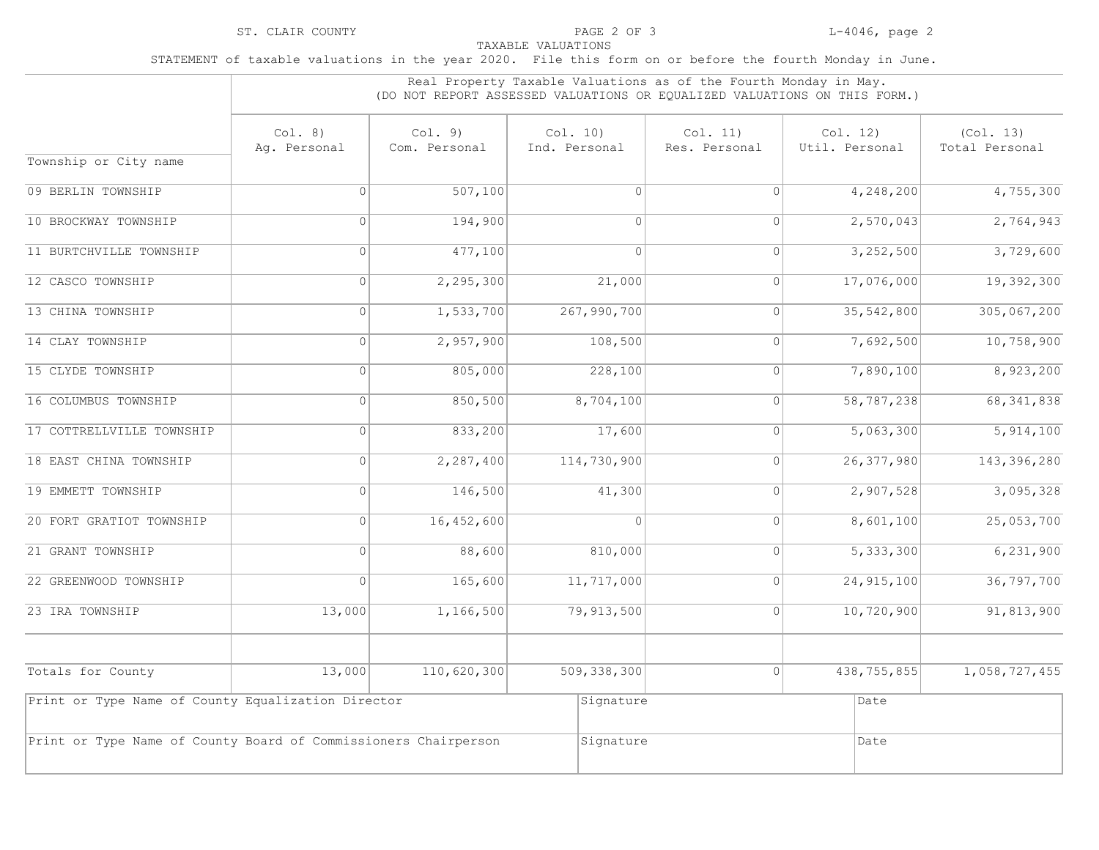|                                                                 | Real Property Taxable Valuations as of the Fourth Monday in May.<br>(DO NOT REPORT ASSESSED VALUATIONS OR EQUALIZED VALUATIONS ON THIS FORM.) |                          |                           |                           |                            |                             |  |  |  |
|-----------------------------------------------------------------|-----------------------------------------------------------------------------------------------------------------------------------------------|--------------------------|---------------------------|---------------------------|----------------------------|-----------------------------|--|--|--|
|                                                                 | Col. 8)<br>Aq. Personal                                                                                                                       | Col. 9)<br>Com. Personal | Col. 10)<br>Ind. Personal | Col. 11)<br>Res. Personal | Col. 12)<br>Util. Personal | (Col. 13)<br>Total Personal |  |  |  |
| Township or City name                                           |                                                                                                                                               |                          |                           |                           |                            |                             |  |  |  |
| 09 BERLIN TOWNSHIP                                              | $\Omega$                                                                                                                                      | 507,100                  | 0                         | $\overline{0}$            | 4,248,200                  | 4,755,300                   |  |  |  |
| 10 BROCKWAY TOWNSHIP                                            | 0                                                                                                                                             | 194,900                  | 0                         | $\overline{0}$            | 2,570,043                  | 2,764,943                   |  |  |  |
| 11 BURTCHVILLE TOWNSHIP                                         | $\overline{0}$                                                                                                                                | 477,100                  | $\Omega$                  | $\overline{0}$            | 3,252,500                  | 3,729,600                   |  |  |  |
| 12 CASCO TOWNSHIP                                               | $\overline{0}$                                                                                                                                | 2,295,300                | 21,000                    | $\overline{0}$            | 17,076,000                 | 19,392,300                  |  |  |  |
| 13 CHINA TOWNSHIP                                               | 0                                                                                                                                             | 1,533,700                | 267,990,700               | $\circ$                   | 35,542,800                 | 305,067,200                 |  |  |  |
| 14 CLAY TOWNSHIP                                                | $\Omega$                                                                                                                                      | 2,957,900                | 108,500                   | $\circ$                   | 7,692,500                  | 10,758,900                  |  |  |  |
| 15 CLYDE TOWNSHIP                                               | 0                                                                                                                                             | 805,000                  | 228,100                   | $\circ$                   | 7,890,100                  | 8,923,200                   |  |  |  |
| 16 COLUMBUS TOWNSHIP                                            | $\overline{0}$                                                                                                                                | 850,500                  | 8,704,100                 | $\Omega$                  | 58,787,238                 | 68, 341, 838                |  |  |  |
| 17 COTTRELLVILLE TOWNSHIP                                       | $\overline{0}$                                                                                                                                | 833,200                  | 17,600                    | $\circ$                   | 5,063,300                  | 5,914,100                   |  |  |  |
| 18 EAST CHINA TOWNSHIP                                          | 0                                                                                                                                             | 2,287,400                | 114,730,900               | $\overline{0}$            | 26, 377, 980               | 143, 396, 280               |  |  |  |
| 19 EMMETT TOWNSHIP                                              | 0                                                                                                                                             | 146,500                  | 41,300                    | $\overline{0}$            | 2,907,528                  | 3,095,328                   |  |  |  |
| 20 FORT GRATIOT TOWNSHIP                                        | 0                                                                                                                                             | 16,452,600               | 0                         | $\overline{0}$            | 8,601,100                  | 25,053,700                  |  |  |  |
| 21 GRANT TOWNSHIP                                               | $\Omega$                                                                                                                                      | 88,600                   | 810,000                   | $\Omega$                  | 5,333,300                  | 6, 231, 900                 |  |  |  |
| 22 GREENWOOD TOWNSHIP                                           | $\Omega$                                                                                                                                      | 165,600                  | 11,717,000                | 0                         | 24, 915, 100               | 36,797,700                  |  |  |  |
| 23 IRA TOWNSHIP                                                 | 13,000                                                                                                                                        | 1,166,500                | 79,913,500                | 0                         | 10,720,900                 | 91,813,900                  |  |  |  |
| Totals for County                                               | 13,000                                                                                                                                        | 110,620,300              | 509,338,300               | 0                         | 438, 755, 855              | 1,058,727,455               |  |  |  |
| Print or Type Name of County Equalization Director              |                                                                                                                                               |                          | Signature                 |                           | Date                       |                             |  |  |  |
| Print or Type Name of County Board of Commissioners Chairperson |                                                                                                                                               |                          | Signature                 |                           | Date                       |                             |  |  |  |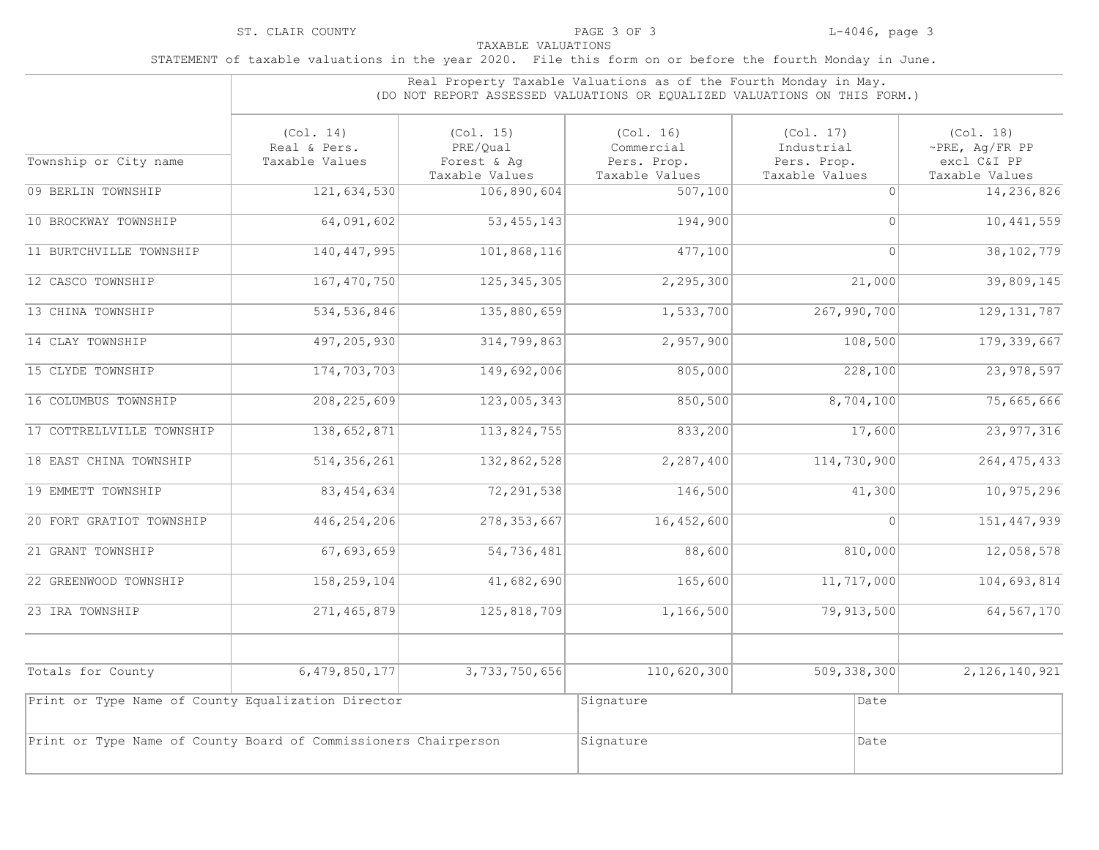|                                                                 | Real Property Taxable Valuations as of the Fourth Monday in May.<br>(DO NOT REPORT ASSESSED VALUATIONS OR EOUALIZED VALUATIONS ON THIS FORM.) |                                                        |                                                          |                                                          |                                                                    |  |  |
|-----------------------------------------------------------------|-----------------------------------------------------------------------------------------------------------------------------------------------|--------------------------------------------------------|----------------------------------------------------------|----------------------------------------------------------|--------------------------------------------------------------------|--|--|
| Township or City name                                           | (Co1, 14)<br>Real & Pers.<br>Taxable Values                                                                                                   | (Col. 15)<br>PRE/Qual<br>Forest & Aq<br>Taxable Values | (Col. 16)<br>Commercial<br>Pers. Prop.<br>Taxable Values | (Col. 17)<br>Industrial<br>Pers. Prop.<br>Taxable Values | (Col. 18)<br>$\sim$ PRE, Aq/FR PP<br>excl C&I PP<br>Taxable Values |  |  |
| 09 BERLIN TOWNSHIP                                              | 121,634,530                                                                                                                                   | 106,890,604                                            | 507, 100                                                 | $\bigcap$                                                | 14,236,826                                                         |  |  |
| 10 BROCKWAY TOWNSHIP                                            | 64,091,602                                                                                                                                    | 53, 455, 143                                           | 194,900                                                  | 0                                                        | 10,441,559                                                         |  |  |
| 11 BURTCHVILLE TOWNSHIP                                         | 140, 447, 995                                                                                                                                 | 101,868,116                                            | 477,100                                                  | $\Omega$                                                 | 38, 102, 779                                                       |  |  |
| 12 CASCO TOWNSHIP                                               | 167, 470, 750                                                                                                                                 | 125, 345, 305                                          | 2, 295, 300                                              | 21,000                                                   | 39,809,145                                                         |  |  |
| 13 CHINA TOWNSHIP                                               | 534, 536, 846                                                                                                                                 | 135,880,659                                            | 1,533,700                                                | 267,990,700                                              | 129, 131, 787                                                      |  |  |
| 14 CLAY TOWNSHIP                                                | 497,205,930                                                                                                                                   | 314,799,863                                            | 2,957,900                                                | 108,500                                                  | 179, 339, 667                                                      |  |  |
| 15 CLYDE TOWNSHIP                                               | 174,703,703                                                                                                                                   | 149,692,006                                            | 805,000                                                  | $\overline{228,100}$                                     | 23, 978, 597                                                       |  |  |
| 16 COLUMBUS TOWNSHIP                                            | 208, 225, 609                                                                                                                                 | 123,005,343                                            | 850,500                                                  | 8,704,100                                                | 75,665,666                                                         |  |  |
| 17 COTTRELLVILLE TOWNSHIP                                       | 138,652,871                                                                                                                                   | 113,824,755                                            | 833,200                                                  | 17,600                                                   | 23, 977, 316                                                       |  |  |
| 18 EAST CHINA TOWNSHIP                                          | 514, 356, 261                                                                                                                                 | 132,862,528                                            | 2,287,400                                                | 114,730,900                                              | 264, 475, 433                                                      |  |  |
| 19 EMMETT TOWNSHIP                                              | 83, 454, 634                                                                                                                                  | 72, 291, 538                                           | 146,500                                                  | 41,300                                                   | 10,975,296                                                         |  |  |
| 20 FORT GRATIOT TOWNSHIP                                        | 446,254,206                                                                                                                                   | 278, 353, 667                                          | 16,452,600                                               | $\Omega$                                                 | 151, 447, 939                                                      |  |  |
| 21 GRANT TOWNSHIP                                               | 67,693,659                                                                                                                                    | 54,736,481                                             | 88,600                                                   | 810,000                                                  | 12,058,578                                                         |  |  |
| 22 GREENWOOD TOWNSHIP                                           | 158,259,104                                                                                                                                   | 41,682,690                                             | 165,600                                                  | 11,717,000                                               | 104,693,814                                                        |  |  |
| 23 IRA TOWNSHIP                                                 | 271, 465, 879                                                                                                                                 | 125,818,709                                            | 1,166,500                                                | 79,913,500                                               | 64, 567, 170                                                       |  |  |
| Totals for County                                               | 6,479,850,177                                                                                                                                 | 3,733,750,656                                          | 110,620,300                                              | 509, 338, 300                                            | 2,126,140,921                                                      |  |  |
| Print or Type Name of County Equalization Director              |                                                                                                                                               |                                                        | Signature                                                | Date                                                     |                                                                    |  |  |
| Print or Type Name of County Board of Commissioners Chairperson |                                                                                                                                               |                                                        | Signature                                                | Date                                                     |                                                                    |  |  |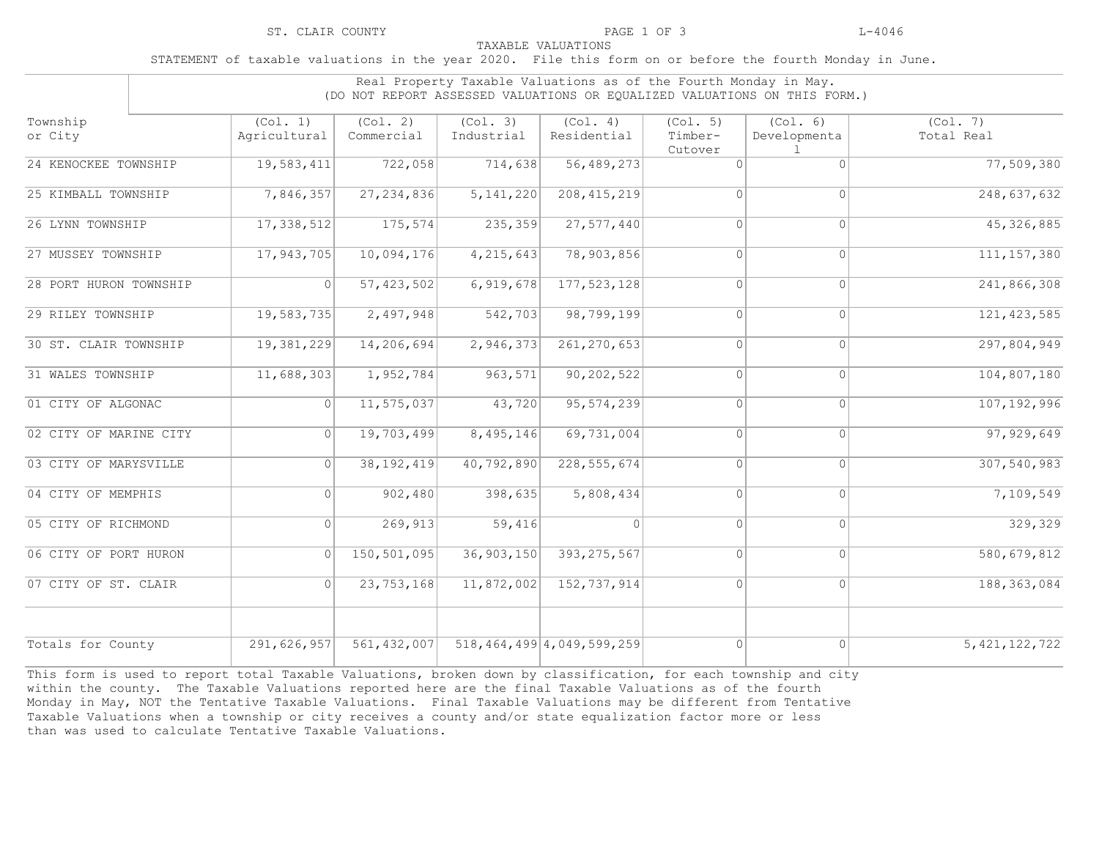STATEMENT of taxable valuations in the year 2020. File this form on or before the fourth Monday in June.

|                        | Real Property Taxable Valuations as of the Fourth Monday in May.<br>(DO NOT REPORT ASSESSED VALUATIONS OR EQUALIZED VALUATIONS ON THIS FORM.) |                        |                        |                                |                                |                          |                        |
|------------------------|-----------------------------------------------------------------------------------------------------------------------------------------------|------------------------|------------------------|--------------------------------|--------------------------------|--------------------------|------------------------|
| Township<br>or City    | (Col. 1)<br>Agricultural                                                                                                                      | (Col. 2)<br>Commercial | (Col. 3)<br>Industrial | (Col. 4)<br>Residential        | (Col. 5)<br>Timber-<br>Cutover | (Col. 6)<br>Developmenta | (Col. 7)<br>Total Real |
| 24 KENOCKEE TOWNSHIP   | 19,583,411                                                                                                                                    | 722,058                | 714,638                | 56,489,273                     | $\cap$                         | $\cap$                   | 77,509,380             |
| 25 KIMBALL TOWNSHIP    | 7,846,357                                                                                                                                     | 27, 234, 836           | 5, 141, 220            | 208, 415, 219                  | $\Omega$                       | $\bigcap$                | 248,637,632            |
| 26 LYNN TOWNSHIP       | 17,338,512                                                                                                                                    | 175,574                | 235,359                | 27,577,440                     | $\Omega$                       | $\Omega$                 | 45, 326, 885           |
| 27 MUSSEY TOWNSHIP     | 17,943,705                                                                                                                                    | 10,094,176             | 4,215,643              | 78,903,856                     | $\Omega$                       | $\bigcap$                | 111, 157, 380          |
| 28 PORT HURON TOWNSHIP | $\Omega$                                                                                                                                      | 57, 423, 502           | 6,919,678              | 177, 523, 128                  | $\Omega$                       | $\Omega$                 | 241,866,308            |
| 29 RILEY TOWNSHIP      | 19,583,735                                                                                                                                    | 2,497,948              | 542,703                | 98,799,199                     | $\bigcap$                      | $\bigcap$                | 121, 423, 585          |
| 30 ST. CLAIR TOWNSHIP  | 19,381,229                                                                                                                                    | 14,206,694             | 2,946,373              | 261, 270, 653                  | $\Omega$                       | $\Omega$                 | 297,804,949            |
| 31 WALES TOWNSHIP      | 11,688,303                                                                                                                                    | 1,952,784              | 963,571                | 90, 202, 522                   | $\overline{0}$                 | $\Omega$                 | 104,807,180            |
| 01 CITY OF ALGONAC     | $\Omega$                                                                                                                                      | 11,575,037             | 43,720                 | 95, 574, 239                   | $\Omega$                       | $\cap$                   | 107, 192, 996          |
| 02 CITY OF MARINE CITY | $\Omega$                                                                                                                                      | 19,703,499             | 8,495,146              | 69,731,004                     | $\Omega$                       | $\Omega$                 | 97, 929, 649           |
| 03 CITY OF MARYSVILLE  | $\cap$                                                                                                                                        | 38, 192, 419           | 40,792,890             | 228, 555, 674                  | $\Omega$                       | $\bigcap$                | 307,540,983            |
| 04 CITY OF MEMPHIS     | $\Omega$                                                                                                                                      | 902,480                | 398,635                | 5,808,434                      | $\bigcap$                      | $\bigcap$                | 7,109,549              |
| 05 CITY OF RICHMOND    | $\Omega$                                                                                                                                      | 269,913                | $\overline{59, 416}$   | $\Omega$                       | $\bigcap$                      | $\Omega$                 | 329,329                |
| 06 CITY OF PORT HURON  | $\Omega$                                                                                                                                      | 150,501,095            | 36,903,150             | 393, 275, 567                  | $\bigcap$                      | $\bigcap$                | 580,679,812            |
| 07 CITY OF ST. CLAIR   | $\Omega$                                                                                                                                      | 23, 753, 168           | 11,872,002             | 152,737,914                    | $\Omega$                       | $\cap$                   | 188, 363, 084          |
| Totals for County      | 291,626,957                                                                                                                                   | 561, 432, 007          |                        | 518, 464, 499 4, 049, 599, 259 | $\Omega$                       | $\Omega$                 | 5, 421, 122, 722       |

This form is used to report total Taxable Valuations, broken down by classification, for each township and city within the county. The Taxable Valuations reported here are the final Taxable Valuations as of the fourth Monday in May, NOT the Tentative Taxable Valuations. Final Taxable Valuations may be different from Tentative Taxable Valuations when a township or city receives a county and/or state equalization factor more or less than was used to calculate Tentative Taxable Valuations.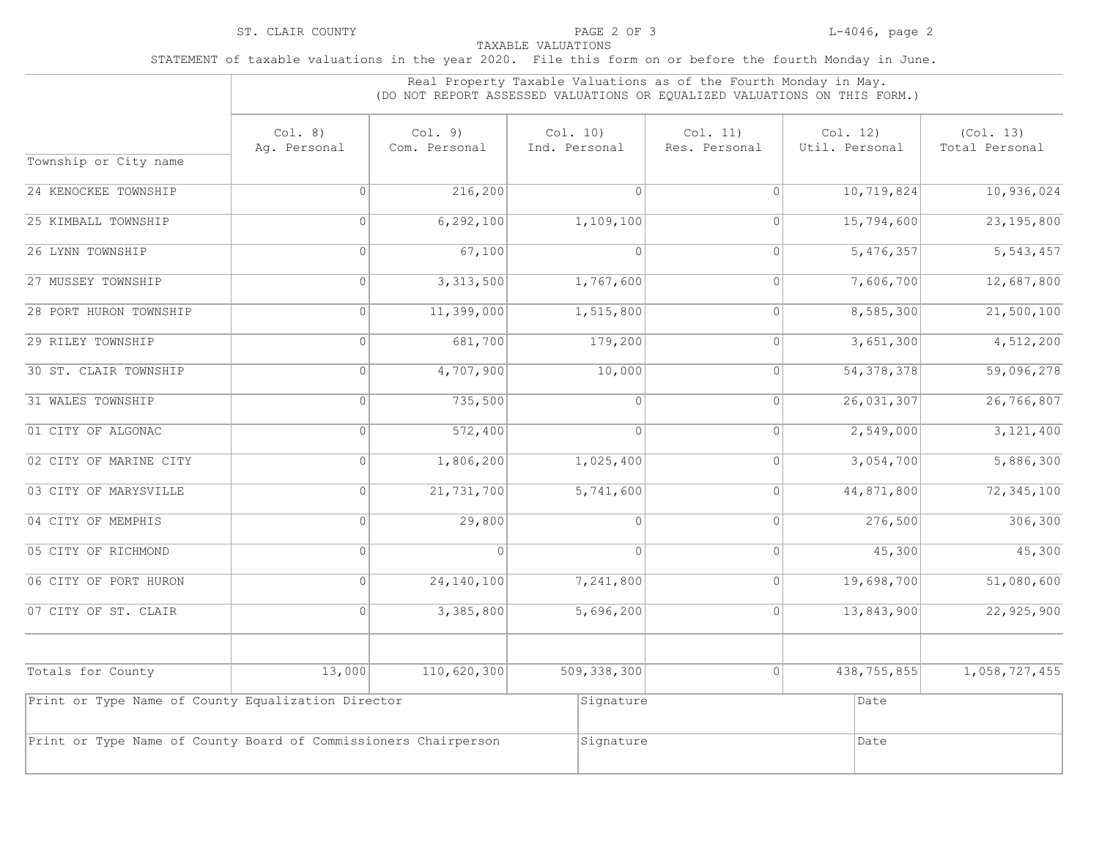|                                                                 | Real Property Taxable Valuations as of the Fourth Monday in May.<br>(DO NOT REPORT ASSESSED VALUATIONS OR EQUALIZED VALUATIONS ON THIS FORM.) |                          |                           |                           |                            |                             |  |  |  |
|-----------------------------------------------------------------|-----------------------------------------------------------------------------------------------------------------------------------------------|--------------------------|---------------------------|---------------------------|----------------------------|-----------------------------|--|--|--|
|                                                                 | Col. 8)<br>Aq. Personal                                                                                                                       | Col. 9)<br>Com. Personal | Col. 10)<br>Ind. Personal | Col. 11)<br>Res. Personal | Col. 12)<br>Util. Personal | (Col. 13)<br>Total Personal |  |  |  |
| Township or City name                                           |                                                                                                                                               |                          |                           |                           |                            |                             |  |  |  |
| 24 KENOCKEE TOWNSHIP                                            | $\Omega$                                                                                                                                      | 216,200                  | $\bigcap$                 | $\overline{0}$            | 10,719,824                 | 10,936,024                  |  |  |  |
| 25 KIMBALL TOWNSHIP                                             | $\overline{0}$                                                                                                                                | 6,292,100                | 1,109,100                 | $\Omega$                  | 15,794,600                 | 23, 195, 800                |  |  |  |
| 26 LYNN TOWNSHIP                                                | 0                                                                                                                                             | 67,100                   | 0                         | $\circ$                   | 5,476,357                  | $\overline{5,543,457}$      |  |  |  |
| 27 MUSSEY TOWNSHIP                                              | $\Omega$                                                                                                                                      | 3,313,500                | 1,767,600                 | $\circ$                   | 7,606,700                  | 12,687,800                  |  |  |  |
| 28 PORT HURON TOWNSHIP                                          | 0                                                                                                                                             | 11,399,000               | 1,515,800                 | $\overline{0}$            | 8,585,300                  | 21,500,100                  |  |  |  |
| 29 RILEY TOWNSHIP                                               | $\Omega$                                                                                                                                      | 681,700                  | 179,200                   | $\Omega$                  | 3,651,300                  | 4,512,200                   |  |  |  |
| 30 ST. CLAIR TOWNSHIP                                           | 0                                                                                                                                             | 4,707,900                | 10,000                    | $\overline{0}$            | 54, 378, 378               | 59,096,278                  |  |  |  |
| 31 WALES TOWNSHIP                                               | $\Omega$                                                                                                                                      | 735,500                  | $\Omega$                  | $\Omega$                  | 26,031,307                 | 26, 766, 807                |  |  |  |
| 01 CITY OF ALGONAC                                              | $\Omega$                                                                                                                                      | 572,400                  | $\Omega$                  | $\overline{0}$            | 2,549,000                  | 3,121,400                   |  |  |  |
| 02 CITY OF MARINE CITY                                          | 0                                                                                                                                             | 1,806,200                | 1,025,400                 | $\circ$                   | 3,054,700                  | 5,886,300                   |  |  |  |
| 03 CITY OF MARYSVILLE                                           | $\Omega$                                                                                                                                      | 21,731,700               | 5,741,600                 | $\circ$                   | 44,871,800                 | 72, 345, 100                |  |  |  |
| 04 CITY OF MEMPHIS                                              | 0                                                                                                                                             | 29,800                   | 0                         | $\circ$                   | 276,500                    | 306, 300                    |  |  |  |
| 05 CITY OF RICHMOND                                             | $\Omega$                                                                                                                                      | $\Omega$                 | $\Omega$                  | $\circ$                   | 45,300                     | 45,300                      |  |  |  |
| 06 CITY OF PORT HURON                                           | 0                                                                                                                                             | 24, 140, 100             | 7,241,800                 | $\circ$                   | 19,698,700                 | 51,080,600                  |  |  |  |
| 07 CITY OF ST. CLAIR                                            | $\Omega$                                                                                                                                      | 3,385,800                | 5,696,200                 | $\Omega$                  | 13,843,900                 | 22,925,900                  |  |  |  |
| Totals for County                                               | 13,000                                                                                                                                        | 110,620,300              | 509, 338, 300             | 0                         | 438,755,855                | 1,058,727,455               |  |  |  |
| Print or Type Name of County Equalization Director              |                                                                                                                                               |                          | Signature                 |                           | Date                       |                             |  |  |  |
| Print or Type Name of County Board of Commissioners Chairperson |                                                                                                                                               |                          | Signature                 |                           | Date                       |                             |  |  |  |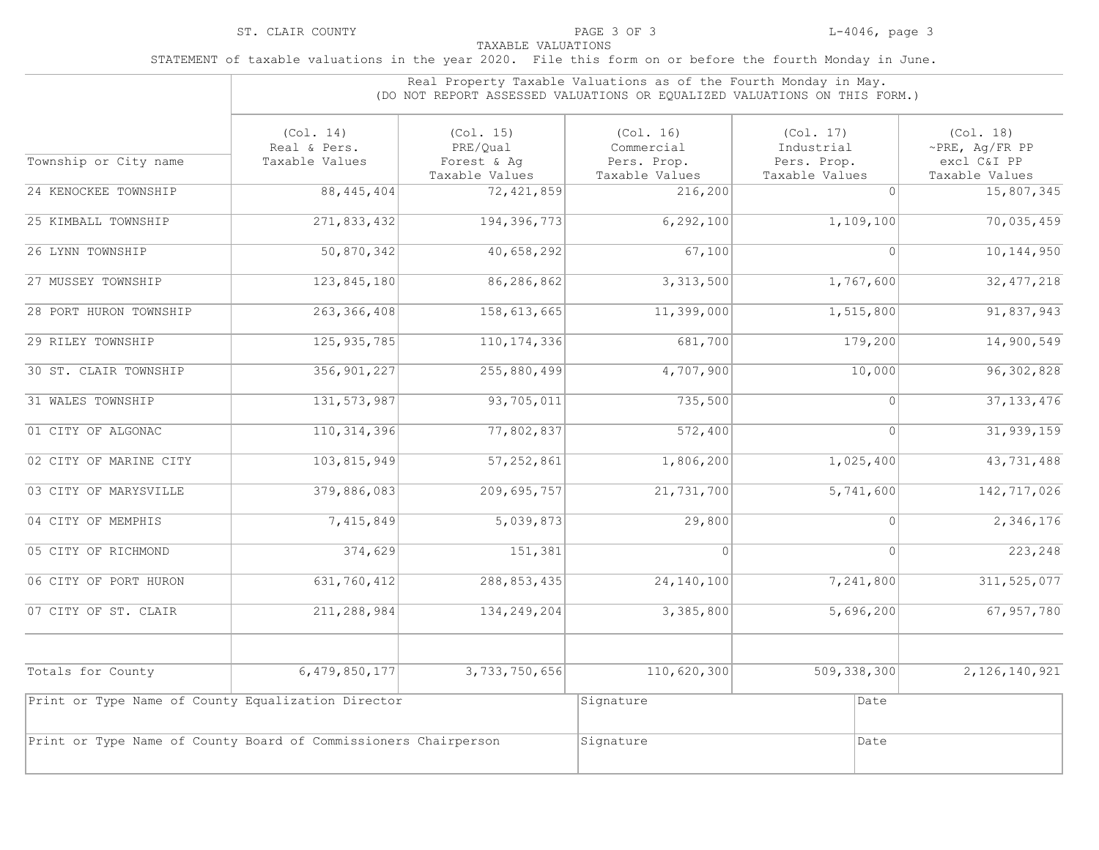|                                                                 | Real Property Taxable Valuations as of the Fourth Monday in May.<br>(DO NOT REPORT ASSESSED VALUATIONS OR EQUALIZED VALUATIONS ON THIS FORM.) |                                                        |                                                          |                                                          |                                                                    |  |
|-----------------------------------------------------------------|-----------------------------------------------------------------------------------------------------------------------------------------------|--------------------------------------------------------|----------------------------------------------------------|----------------------------------------------------------|--------------------------------------------------------------------|--|
| Township or City name                                           | (Co1. 14)<br>Real & Pers.<br>Taxable Values                                                                                                   | (Col. 15)<br>PRE/Qual<br>Forest & Aq<br>Taxable Values | (Co1. 16)<br>Commercial<br>Pers. Prop.<br>Taxable Values | (Co1. 17)<br>Industrial<br>Pers. Prop.<br>Taxable Values | (Col. 18)<br>$\sim$ PRE, Aq/FR PP<br>excl C&I PP<br>Taxable Values |  |
| 24 KENOCKEE TOWNSHIP                                            | 88, 445, 404                                                                                                                                  | 72, 421, 859                                           | 216,200                                                  | $\Omega$                                                 | 15,807,345                                                         |  |
| 25 KIMBALL TOWNSHIP                                             | 271,833,432                                                                                                                                   | 194,396,773                                            | 6, 292, 100                                              | 1,109,100                                                | 70,035,459                                                         |  |
| 26 LYNN TOWNSHIP                                                | 50,870,342                                                                                                                                    | 40,658,292                                             | 67,100                                                   | $\Omega$                                                 | 10, 144, 950                                                       |  |
| 27 MUSSEY TOWNSHIP                                              | 123,845,180                                                                                                                                   | 86,286,862                                             | 3,313,500                                                | 1,767,600                                                | 32, 477, 218                                                       |  |
| 28 PORT HURON TOWNSHIP                                          | 263, 366, 408                                                                                                                                 | 158, 613, 665                                          | 11,399,000                                               | 1,515,800                                                | 91,837,943                                                         |  |
| 29 RILEY TOWNSHIP                                               | 125, 935, 785                                                                                                                                 | 110, 174, 336                                          | 681,700                                                  | 179,200                                                  | 14,900,549                                                         |  |
| 30 ST. CLAIR TOWNSHIP                                           | 356, 901, 227                                                                                                                                 | 255,880,499                                            | 4,707,900                                                | 10,000                                                   | 96, 302, 828                                                       |  |
| 31 WALES TOWNSHIP                                               | 131, 573, 987                                                                                                                                 | 93,705,011                                             | 735,500                                                  | $\mathbf{0}$                                             | 37, 133, 476                                                       |  |
| 01 CITY OF ALGONAC                                              | 110, 314, 396                                                                                                                                 | 77,802,837                                             | 572,400                                                  | $\overline{0}$                                           | 31, 939, 159                                                       |  |
| 02 CITY OF MARINE CITY                                          | 103,815,949                                                                                                                                   | 57,252,861                                             | 1,806,200                                                | 1,025,400                                                | 43,731,488                                                         |  |
| 03 CITY OF MARYSVILLE                                           | 379,886,083                                                                                                                                   | 209,695,757                                            | 21,731,700                                               | 5,741,600                                                | 142,717,026                                                        |  |
| 04 CITY OF MEMPHIS                                              | 7,415,849                                                                                                                                     | 5,039,873                                              | 29,800                                                   | $\Omega$                                                 | 2,346,176                                                          |  |
| 05 CITY OF RICHMOND                                             | 374,629                                                                                                                                       | 151,381                                                | $\Omega$                                                 | $\Omega$                                                 | 223,248                                                            |  |
| 06 CITY OF PORT HURON                                           | 631,760,412                                                                                                                                   | 288, 853, 435                                          | 24, 140, 100                                             | 7,241,800                                                | 311, 525, 077                                                      |  |
| 07 CITY OF ST. CLAIR                                            | 211,288,984                                                                                                                                   | 134, 249, 204                                          | 3,385,800                                                | 5,696,200                                                | 67,957,780                                                         |  |
| Totals for County                                               | 6,479,850,177                                                                                                                                 | 3,733,750,656                                          | 110,620,300                                              | 509, 338, 300                                            | 2, 126, 140, 921                                                   |  |
| Print or Type Name of County Equalization Director              |                                                                                                                                               |                                                        | Signature                                                | Date                                                     |                                                                    |  |
| Print or Type Name of County Board of Commissioners Chairperson |                                                                                                                                               |                                                        | Signature                                                | Date                                                     |                                                                    |  |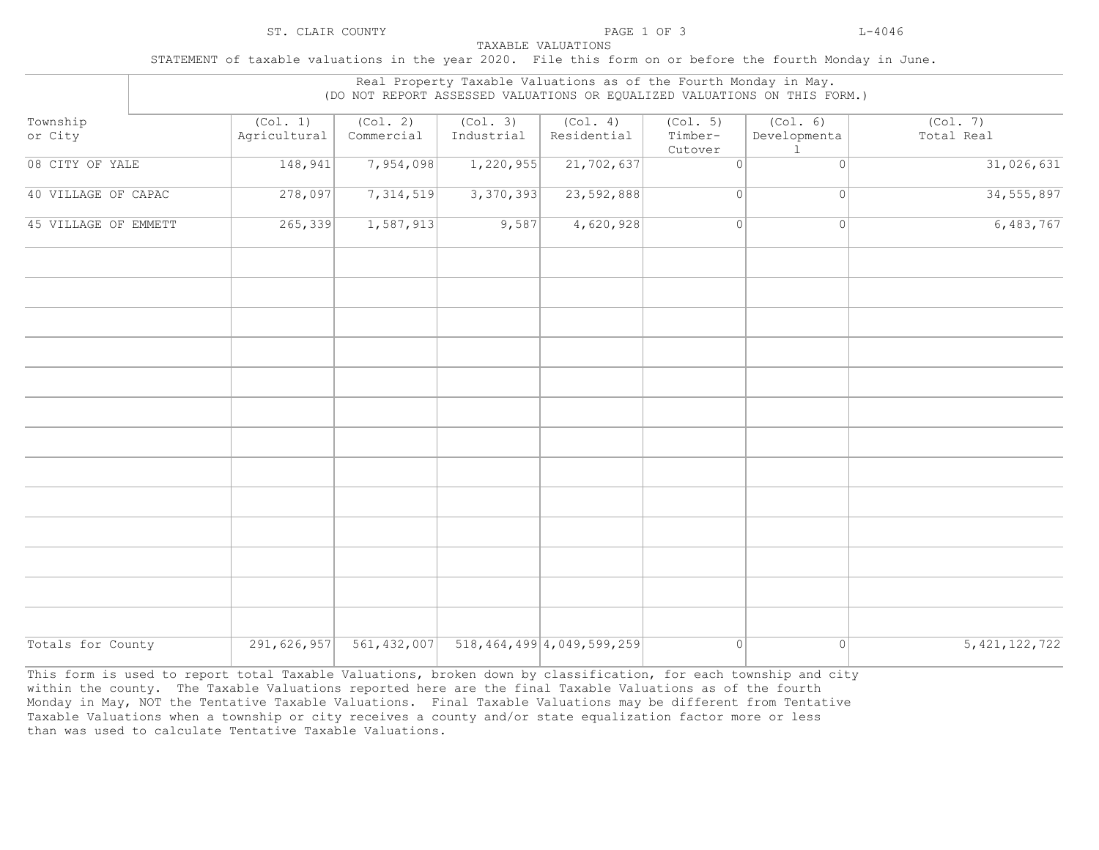STATEMENT of taxable valuations in the year 2020. File this form on or before the fourth Monday in June.

| or City<br>08 CITY OF YALE | Agricultural<br>148,941 | Commercial<br>7,954,098 | Industrial<br>1,220,955 | Residential<br>21,702,637      | Timber-<br>Cutover<br>$\overline{0}$ | Developmenta<br>1<br>$\mathbf{0}$ | Total Real<br>31,026,631 |
|----------------------------|-------------------------|-------------------------|-------------------------|--------------------------------|--------------------------------------|-----------------------------------|--------------------------|
|                            |                         |                         |                         |                                |                                      |                                   |                          |
| 40 VILLAGE OF CAPAC        | 278,097                 | 7,314,519               | 3,370,393               | 23,592,888                     | $\overline{0}$                       | $\circ$                           | 34, 555, 897             |
| 45 VILLAGE OF EMMETT       | 265, 339                | 1,587,913               | 9,587                   | 4,620,928                      | 0                                    | $\circ$                           | 6,483,767                |
|                            |                         |                         |                         |                                |                                      |                                   |                          |
|                            |                         |                         |                         |                                |                                      |                                   |                          |
|                            |                         |                         |                         |                                |                                      |                                   |                          |
|                            |                         |                         |                         |                                |                                      |                                   |                          |
|                            |                         |                         |                         |                                |                                      |                                   |                          |
|                            |                         |                         |                         |                                |                                      |                                   |                          |
|                            |                         |                         |                         |                                |                                      |                                   |                          |
|                            |                         |                         |                         |                                |                                      |                                   |                          |
|                            |                         |                         |                         |                                |                                      |                                   |                          |
| Totals for County          | 291,626,957             | 561, 432, 007           |                         | 518, 464, 499 4, 049, 599, 259 | $\circ$                              | 0                                 | 5, 421, 122, 722         |

This form is used to report total Taxable Valuations, broken down by classification, for each township and city within the county. The Taxable Valuations reported here are the final Taxable Valuations as of the fourth Monday in May, NOT the Tentative Taxable Valuations. Final Taxable Valuations may be different from Tentative Taxable Valuations when a township or city receives a county and/or state equalization factor more or less than was used to calculate Tentative Taxable Valuations.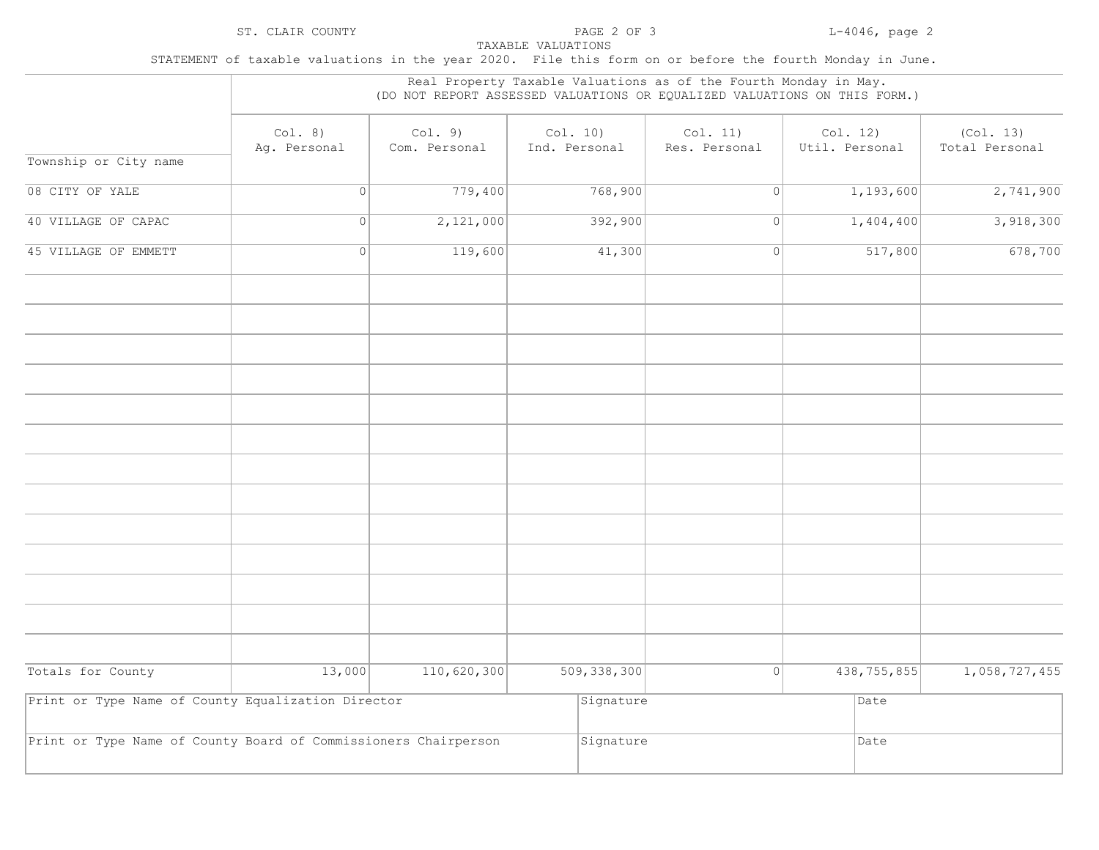|                                                                 |                         |                          |                           | Real Property Taxable Valuations as of the Fourth Monday in May. | (DO NOT REPORT ASSESSED VALUATIONS OR EQUALIZED VALUATIONS ON THIS FORM.) |                             |
|-----------------------------------------------------------------|-------------------------|--------------------------|---------------------------|------------------------------------------------------------------|---------------------------------------------------------------------------|-----------------------------|
|                                                                 | Col. 8)<br>Ag. Personal | Col. 9)<br>Com. Personal | Col. 10)<br>Ind. Personal | Col. 11)<br>Res. Personal                                        | Col. 12)<br>Util. Personal                                                | (Col. 13)<br>Total Personal |
| Township or City name                                           |                         |                          |                           |                                                                  |                                                                           |                             |
| 08 CITY OF YALE                                                 | 0                       | 779,400                  | 768,900                   | 0                                                                | 1,193,600                                                                 | 2,741,900                   |
| 40 VILLAGE OF CAPAC                                             | 0                       | 2,121,000                | 392,900                   | $\circ$                                                          | 1,404,400                                                                 | 3,918,300                   |
| 45 VILLAGE OF EMMETT                                            | 0                       | 119,600                  | 41,300                    | 0                                                                | 517,800                                                                   | 678,700                     |
|                                                                 |                         |                          |                           |                                                                  |                                                                           |                             |
|                                                                 |                         |                          |                           |                                                                  |                                                                           |                             |
|                                                                 |                         |                          |                           |                                                                  |                                                                           |                             |
|                                                                 |                         |                          |                           |                                                                  |                                                                           |                             |
|                                                                 |                         |                          |                           |                                                                  |                                                                           |                             |
|                                                                 |                         |                          |                           |                                                                  |                                                                           |                             |
|                                                                 |                         |                          |                           |                                                                  |                                                                           |                             |
|                                                                 |                         |                          |                           |                                                                  |                                                                           |                             |
| Totals for County                                               | 13,000                  | 110,620,300              | 509, 338, 300             | 0                                                                | 438,755,855                                                               | 1,058,727,455               |
| Print or Type Name of County Equalization Director              |                         |                          | Signature                 |                                                                  | Date                                                                      |                             |
| Print or Type Name of County Board of Commissioners Chairperson |                         |                          | Signature                 |                                                                  | Date                                                                      |                             |